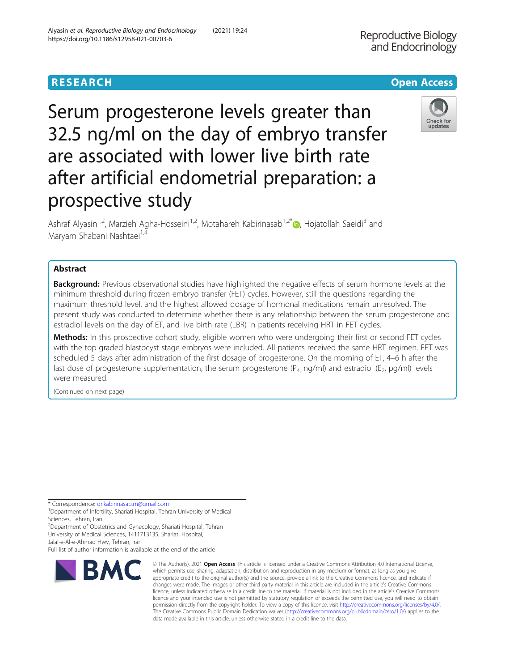# **RESEARCH CHE Open Access**

Serum progesterone levels greater than 32.5 ng/ml on the day of embryo transfer are associated with lower live birth rate after artificial endometrial preparation: a prospective study

Ashraf Alyasin<sup>1,2</sup>, Marzieh Agha-Hosseini<sup>1,2</sup>, Motahareh Kabirinasab<sup>1,2[\\*](http://orcid.org/0000-0003-3375-8064)</sup> $\odot$ , Hojatollah Saeidi<sup>3</sup> and Maryam Shabani Nashtaei<sup>1,4</sup>

# Abstract

**Background:** Previous observational studies have highlighted the negative effects of serum hormone levels at the minimum threshold during frozen embryo transfer (FET) cycles. However, still the questions regarding the maximum threshold level, and the highest allowed dosage of hormonal medications remain unresolved. The present study was conducted to determine whether there is any relationship between the serum progesterone and estradiol levels on the day of ET, and live birth rate (LBR) in patients receiving HRT in FET cycles.

Methods: In this prospective cohort study, eligible women who were undergoing their first or second FET cycles with the top graded blastocyst stage embryos were included. All patients received the same HRT regimen. FET was scheduled 5 days after administration of the first dosage of progesterone. On the morning of ET, 4–6 h after the last dose of progesterone supplementation, the serum progesterone ( $P_4$ , ng/ml) and estradiol ( $E_2$ , pg/ml) levels were measured.

(Continued on next page)

\* Correspondence: [dr.kabirinasab.m@gmail.com](mailto:dr.kabirinasab.m@gmail.com) <sup>1</sup>

**RMC** 

<sup>1</sup>Department of Infertility, Shariati Hospital, Tehran University of Medical Sciences, Tehran, Iran

<sup>2</sup>Department of Obstetrics and Gynecology, Shariati Hospital, Tehran University of Medical Sciences, 1411713135, Shariati Hospital,

Jalal-e-Al-e-Ahmad Hwy, Tehran, Iran

Full list of author information is available at the end of the article

which permits use, sharing, adaptation, distribution and reproduction in any medium or format, as long as you give appropriate credit to the original author(s) and the source, provide a link to the Creative Commons licence, and indicate if changes were made. The images or other third party material in this article are included in the article's Creative Commons licence, unless indicated otherwise in a credit line to the material. If material is not included in the article's Creative Commons licence and your intended use is not permitted by statutory regulation or exceeds the permitted use, you will need to obtain permission directly from the copyright holder. To view a copy of this licence, visit [http://creativecommons.org/licenses/by/4.0/.](http://creativecommons.org/licenses/by/4.0/) The Creative Commons Public Domain Dedication waiver [\(http://creativecommons.org/publicdomain/zero/1.0/](http://creativecommons.org/publicdomain/zero/1.0/)) applies to the data made available in this article, unless otherwise stated in a credit line to the data.

© The Author(s), 2021 **Open Access** This article is licensed under a Creative Commons Attribution 4.0 International License,



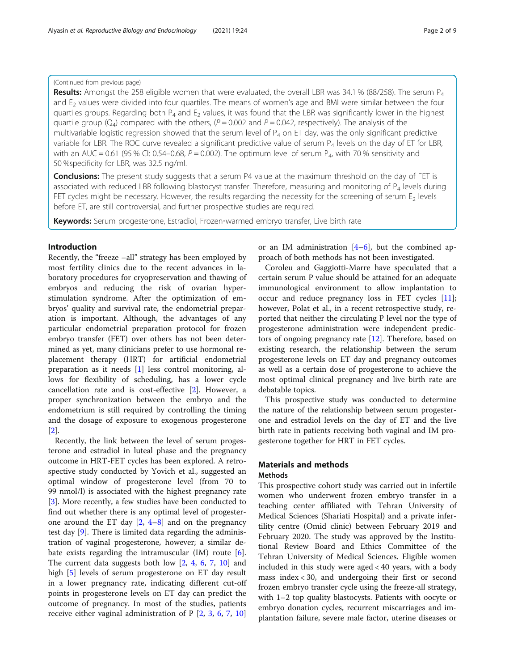# (Continued from previous page)

Results: Amongst the 258 eligible women that were evaluated, the overall LBR was 34.1 % (88/258). The serum  $P_4$ and E<sub>2</sub> values were divided into four quartiles. The means of women's age and BMI were similar between the four quartiles groups. Regarding both  $P_4$  and  $E_2$  values, it was found that the LBR was significantly lower in the highest quartile group ( $Q_4$ ) compared with the others, ( $P = 0.002$  and  $P = 0.042$ , respectively). The analysis of the multivariable logistic regression showed that the serum level of  $P_4$  on ET day, was the only significant predictive variable for LBR. The ROC curve revealed a significant predictive value of serum  $P_4$  levels on the day of ET for LBR, with an AUC = 0.61 (95 % CI: 0.54–0.68, P = 0.002). The optimum level of serum  $P_4$ , with 70 % sensitivity and 50 %specificity for LBR, was 32.5 ng/ml.

**Conclusions:** The present study suggests that a serum P4 value at the maximum threshold on the day of FET is associated with reduced LBR following blastocyst transfer. Therefore, measuring and monitoring of  $P_4$  levels during FET cycles might be necessary. However, the results regarding the necessity for the screening of serum  $E_2$  levels before ET, are still controversial, and further prospective studies are required.

Keywords: Serum progesterone, Estradiol, Frozen-warmed embryo transfer, Live birth rate

# Introduction

Recently, the "freeze –all" strategy has been employed by most fertility clinics due to the recent advances in laboratory procedures for cryopreservation and thawing of embryos and reducing the risk of ovarian hyperstimulation syndrome. After the optimization of embryos' quality and survival rate, the endometrial preparation is important. Although, the advantages of any particular endometrial preparation protocol for frozen embryo transfer (FET) over others has not been determined as yet, many clinicians prefer to use hormonal replacement therapy (HRT) for artificial endometrial preparation as it needs [\[1\]](#page-7-0) less control monitoring, allows for flexibility of scheduling, has a lower cycle cancellation rate and is cost-effective [\[2](#page-7-0)]. However, a proper synchronization between the embryo and the endometrium is still required by controlling the timing and the dosage of exposure to exogenous progesterone [[2\]](#page-7-0).

Recently, the link between the level of serum progesterone and estradiol in luteal phase and the pregnancy outcome in HRT-FET cycles has been explored. A retrospective study conducted by Yovich et al., suggested an optimal window of progesterone level (from 70 to 99 nmol/l) is associated with the highest pregnancy rate [[3\]](#page-7-0). More recently, a few studies have been conducted to find out whether there is any optimal level of progesterone around the ET day [[2](#page-7-0), [4](#page-7-0)–[8](#page-7-0)] and on the pregnancy test day [[9\]](#page-7-0). There is limited data regarding the administration of vaginal progesterone, however; a similar debate exists regarding the intramuscular  $(IM)$  route  $[6]$  $[6]$ . The current data suggests both low [\[2](#page-7-0), [4](#page-7-0), [6](#page-7-0), [7](#page-7-0), [10](#page-7-0)] and high [[5\]](#page-7-0) levels of serum progesterone on ET day result in a lower pregnancy rate, indicating different cut-off points in progesterone levels on ET day can predict the outcome of pregnancy. In most of the studies, patients receive either vaginal administration of P [[2,](#page-7-0) [3,](#page-7-0) [6](#page-7-0), [7,](#page-7-0) [10](#page-7-0)] or an IM administration  $[4-6]$  $[4-6]$  $[4-6]$  $[4-6]$ , but the combined approach of both methods has not been investigated.

Coroleu and Gaggiotti-Marre have speculated that a certain serum P value should be attained for an adequate immunological environment to allow implantation to occur and reduce pregnancy loss in FET cycles [\[11](#page-7-0)]; however, Polat et al., in a recent retrospective study, reported that neither the circulating P level nor the type of progesterone administration were independent predictors of ongoing pregnancy rate [\[12\]](#page-7-0). Therefore, based on existing research, the relationship between the serum progesterone levels on ET day and pregnancy outcomes as well as a certain dose of progesterone to achieve the most optimal clinical pregnancy and live birth rate are debatable topics.

This prospective study was conducted to determine the nature of the relationship between serum progesterone and estradiol levels on the day of ET and the live birth rate in patients receiving both vaginal and IM progesterone together for HRT in FET cycles.

# Materials and methods

# Methods

This prospective cohort study was carried out in infertile women who underwent frozen embryo transfer in a teaching center affiliated with Tehran University of Medical Sciences (Shariati Hospital) and a private infertility centre (Omid clinic) between February 2019 and February 2020. The study was approved by the Institutional Review Board and Ethics Committee of the Tehran University of Medical Sciences. Eligible women included in this study were aged < 40 years, with a body mass index < 30, and undergoing their first or second frozen embryo transfer cycle using the freeze-all strategy, with 1–2 top quality blastocysts. Patients with oocyte or embryo donation cycles, recurrent miscarriages and implantation failure, severe male factor, uterine diseases or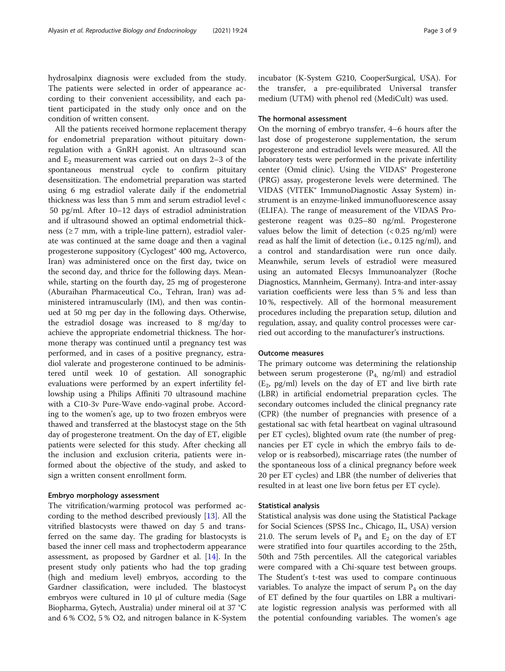hydrosalpinx diagnosis were excluded from the study. The patients were selected in order of appearance according to their convenient accessibility, and each patient participated in the study only once and on the condition of written consent.

All the patients received hormone replacement therapy for endometrial preparation without pituitary downregulation with a GnRH agonist. An ultrasound scan and  $E_2$  measurement was carried out on days 2–3 of the spontaneous menstrual cycle to confirm pituitary desensitization. The endometrial preparation was started using 6 mg estradiol valerate daily if the endometrial thickness was less than 5 mm and serum estradiol level < 50 pg/ml. After 10–12 days of estradiol administration and if ultrasound showed an optimal endometrial thickness ( $\geq$  7 mm, with a triple-line pattern), estradiol valerate was continued at the same doage and then a vaginal progesterone suppository (Cyclogest® 400 mg, Actoverco, Iran) was administered once on the first day, twice on the second day, and thrice for the following days. Meanwhile, starting on the fourth day, 25 mg of progesterone (Aburaihan Pharmaceutical Co., Tehran, Iran) was administered intramuscularly (IM), and then was continued at 50 mg per day in the following days. Otherwise, the estradiol dosage was increased to 8 mg/day to achieve the appropriate endometrial thickness. The hormone therapy was continued until a pregnancy test was performed, and in cases of a positive pregnancy, estradiol valerate and progesterone continued to be administered until week 10 of gestation. All sonographic evaluations were performed by an expert infertility fellowship using a Philips Affiniti 70 ultrasound machine with a C10-3v Pure-Wave endo-vaginal probe. According to the women's age, up to two frozen embryos were thawed and transferred at the blastocyst stage on the 5th day of progesterone treatment. On the day of ET, eligible patients were selected for this study. After checking all the inclusion and exclusion criteria, patients were informed about the objective of the study, and asked to sign a written consent enrollment form.

#### Embryo morphology assessment

The vitrification/warming protocol was performed according to the method described previously [[13\]](#page-8-0). All the vitrified blastocysts were thawed on day 5 and transferred on the same day. The grading for blastocysts is based the inner cell mass and trophectoderm appearance assessment, as proposed by Gardner et al. [[14\]](#page-8-0). In the present study only patients who had the top grading (high and medium level) embryos, according to the Gardner classification, were included. The blastocyst embryos were cultured in 10 µl of culture media (Sage Biopharma, Gytech, Australia) under mineral oil at 37 °C and 6 % CO2, 5 % O2, and nitrogen balance in K-System incubator (K-System G210, CooperSurgical, USA). For the transfer, a pre-equilibrated Universal transfer medium (UTM) with phenol red (MediCult) was used.

# The hormonal assessment

On the morning of embryo transfer, 4–6 hours after the last dose of progesterone supplementation, the serum progesterone and estradiol levels were measured. All the laboratory tests were performed in the private infertility center (Omid clinic). Using the VIDAS® Progesterone (PRG) assay, progesterone levels were determined. The VIDAS (VITEK® ImmunoDiagnostic Assay System) instrument is an enzyme-linked immunofluorescence assay (ELIFA). The range of measurement of the VIDAS Progesterone reagent was 0.25–80 ng/ml. Progesterone values below the limit of detection  $( $0.25 \text{ ng/ml}$ ) were$ read as half the limit of detection (i.e., 0.125 ng/ml), and a control and standardisation were run once daily. Meanwhile, serum levels of estradiol were measured using an automated Elecsys Immunoanalyzer (Roche Diagnostics, Mannheim, Germany). Intra-and inter-assay variation coefficients were less than 5 % and less than 10 %, respectively. All of the hormonal measurement procedures including the preparation setup, dilution and regulation, assay, and quality control processes were carried out according to the manufacturer's instructions.

#### Outcome measures

The primary outcome was determining the relationship between serum progesterone  $(P_4, ng/ml)$  and estradiol  $(E_2, pg/ml)$  levels on the day of ET and live birth rate (LBR) in artificial endometrial preparation cycles. The secondary outcomes included the clinical pregnancy rate (CPR) (the number of pregnancies with presence of a gestational sac with fetal heartbeat on vaginal ultrasound per ET cycles), blighted ovum rate (the number of pregnancies per ET cycle in which the embryo fails to develop or is reabsorbed), miscarriage rates (the number of the spontaneous loss of a clinical pregnancy before week 20 per ET cycles) and LBR (the number of deliveries that resulted in at least one live born fetus per ET cycle).

#### Statistical analysis

Statistical analysis was done using the Statistical Package for Social Sciences (SPSS Inc., Chicago, IL, USA) version 21.0. The serum levels of  $P_4$  and  $E_2$  on the day of ET were stratified into four quartiles according to the 25th, 50th and 75th percentiles. All the categorical variables were compared with a Chi-square test between groups. The Student's t-test was used to compare continuous variables. To analyze the impact of serum  $P_4$  on the day of ET defined by the four quartiles on LBR a multivariate logistic regression analysis was performed with all the potential confounding variables. The women's age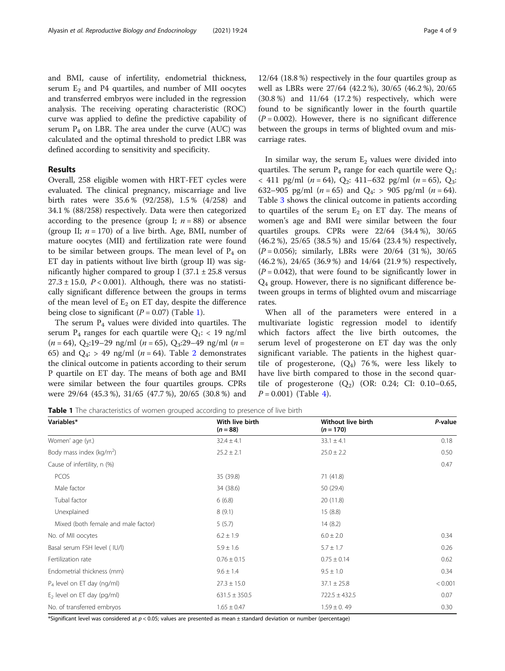and BMI, cause of infertility, endometrial thickness, serum  $E_2$  and P4 quartiles, and number of MII oocytes and transferred embryos were included in the regression analysis. The receiving operating characteristic (ROC) curve was applied to define the predictive capability of serum  $P_4$  on LBR. The area under the curve (AUC) was calculated and the optimal threshold to predict LBR was defined according to sensitivity and specificity.

# Results

Overall, 258 eligible women with HRT-FET cycles were evaluated. The clinical pregnancy, miscarriage and live birth rates were 35.6 % (92/258), 1.5 % (4/258) and 34.1 % (88/258) respectively. Data were then categorized according to the presence (group I;  $n = 88$ ) or absence (group II;  $n = 170$ ) of a live birth. Age, BMI, number of mature oocytes (MII) and fertilization rate were found to be similar between groups. The mean level of  $P_4$  on ET day in patients without live birth (group II) was significantly higher compared to group I  $(37.1 \pm 25.8 \text{ versus}$  $27.3 \pm 15.0$ ,  $P < 0.001$ ). Although, there was no statistically significant difference between the groups in terms of the mean level of  $E_2$  on ET day, despite the difference being close to significant  $(P = 0.07)$  (Table 1).

The serum  $P_4$  values were divided into quartiles. The serum  $P_4$  ranges for each quartile were  $Q_1$ : < 19 ng/ml  $(n = 64)$ , Q<sub>2</sub>:19–29 ng/ml  $(n = 65)$ , Q<sub>3</sub>:29–49 ng/ml  $(n = 65)$ 65) and  $Q_4$ : > 49 ng/ml (*n* = 64). Table [2](#page-4-0) demonstrates the clinical outcome in patients according to their serum P quartile on ET day. The means of both age and BMI were similar between the four quartiles groups. CPRs were 29/64 (45.3 %), 31/65 (47.7 %), 20/65 (30.8 %) and

12/64 (18.8 %) respectively in the four quartiles group as well as LBRs were 27/64 (42.2 %), 30/65 (46.2 %), 20/65 (30.8 %) and 11/64 (17.2 %) respectively, which were found to be significantly lower in the fourth quartile  $(P = 0.002)$ . However, there is no significant difference between the groups in terms of blighted ovum and miscarriage rates.

In similar way, the serum  $E_2$  values were divided into quartiles. The serum  $P_4$  range for each quartile were  $Q_1$ :  $<$  411 pg/ml (*n* = 64), Q<sub>2</sub>: 411–632 pg/ml (*n* = 65), Q<sub>3</sub>: 632–905 pg/ml  $(n = 65)$  and  $Q_4$ : > 905 pg/ml  $(n = 64)$ . Table [3](#page-4-0) shows the clinical outcome in patients according to quartiles of the serum  $E_2$  on ET day. The means of women's age and BMI were similar between the four quartiles groups. CPRs were 22/64 (34.4 %), 30/65 (46.2 %), 25/65 (38.5 %) and 15/64 (23.4 %) respectively,  $(P = 0.056)$ ; similarly, LBRs were  $20/64$  (31%), 30/65 (46.2 %), 24/65 (36.9 %) and 14/64 (21.9 %) respectively,  $(P = 0.042)$ , that were found to be significantly lower in  $Q_4$  group. However, there is no significant difference between groups in terms of blighted ovum and miscarriage rates.

When all of the parameters were entered in a multivariate logistic regression model to identify which factors affect the live birth outcomes, the serum level of progesterone on ET day was the only significant variable. The patients in the highest quartile of progesterone,  $(Q_4)$  76%, were less likely to have live birth compared to those in the second quartile of progesterone  $(Q_2)$  (OR: 0.24; CI: 0.10-0.65,  $P = 0.001$ ) (Table [4](#page-5-0)).

Table 1 The characteristics of women grouped according to presence of live birth

| Variables*                             | With live birth<br>$(n = 88)$ | Without live birth<br>$(n = 170)$ | P-value |
|----------------------------------------|-------------------------------|-----------------------------------|---------|
| Women' age (yr.)                       | $32.4 \pm 4.1$                | $33.1 \pm 4.1$                    | 0.18    |
| Body mass index ( $kg/m2$ )            | $25.2 \pm 2.1$                | $25.0 \pm 2.2$                    | 0.50    |
| Cause of infertility, n (%)            |                               |                                   | 0.47    |
| <b>PCOS</b>                            | 35 (39.8)                     | 71(41.8)                          |         |
| Male factor                            | 34 (38.6)                     | 50 (29.4)                         |         |
| Tubal factor                           | 6(6.8)                        | 20(11.8)                          |         |
| Unexplained                            | 8(9.1)                        | 15(8.8)                           |         |
| Mixed (both female and male factor)    | 5(5.7)                        | 14(8.2)                           |         |
| No. of MII oocytes                     | $6.2 \pm 1.9$                 | $6.0 \pm 2.0$                     | 0.34    |
| Basal serum FSH level (IU/I)           | $5.9 \pm 1.6$                 | $5.7 \pm 1.7$                     | 0.26    |
| Fertilization rate                     | $0.76 \pm 0.15$               | $0.75 \pm 0.14$                   | 0.62    |
| Endometrial thickness (mm)             | $9.6 \pm 1.4$                 | $9.5 \pm 1.0$                     | 0.34    |
| P <sub>4</sub> level on ET day (ng/ml) | $27.3 \pm 15.0$               | $37.1 \pm 25.8$                   | < 0.001 |
| $E2$ level on ET day (pg/ml)           | $631.5 \pm 350.5$             | $722.5 \pm 432.5$                 | 0.07    |
| No. of transferred embryos             | $1.65 \pm 0.47$               | $1.59 \pm 0.49$                   | 0.30    |

\*Significant level was considered at  $p < 0.05$ ; values are presented as mean ± standard deviation or number (percentage)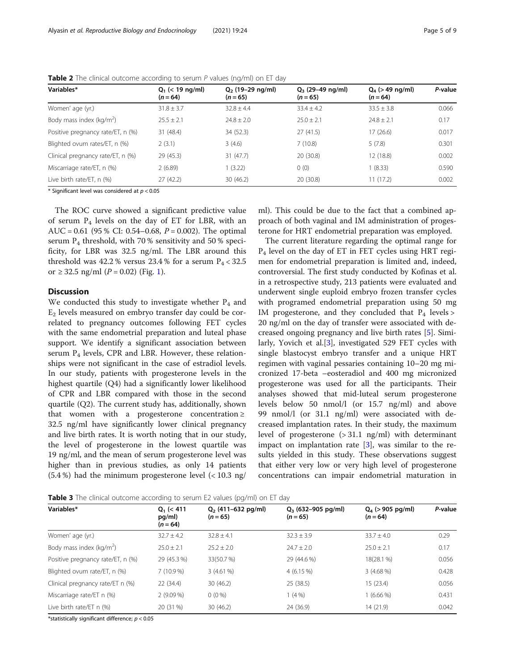| Variables*                          | $Q_1$ (< 19 ng/ml)<br>$(n = 64)$ | $Q_2$ (19–29 ng/ml)<br>$(n = 65)$ | $Q_3$ (29–49 ng/ml)<br>$(n = 65)$ | $Q_4$ (> 49 ng/ml)<br>$(n = 64)$ | P-value |
|-------------------------------------|----------------------------------|-----------------------------------|-----------------------------------|----------------------------------|---------|
| Women' age (yr.)                    | $31.8 \pm 3.7$                   | $32.8 + 4.4$                      | $33.4 + 4.2$                      | $33.5 + 3.8$                     | 0.066   |
| Body mass index ( $\text{kg/m}^2$ ) | $25.5 \pm 2.1$                   | $74.8 + 2.0$                      | $25.0 + 2.1$                      | $74.8 + 7.1$                     | 0.17    |
| Positive pregnancy rate/ET, n (%)   | 31(48.4)                         | 34 (52.3)                         | 27(41.5)                          | 17(26.6)                         | 0.017   |
| Blighted ovum rates/ET, n (%)       | 2(3.1)                           | 3(4.6)                            | 7(10.8)                           | 5(7.8)                           | 0.301   |
| Clinical pregnancy rate/ET, n (%)   | 29(45.3)                         | 31(47.7)                          | 20 (30.8)                         | 12 (18.8)                        | 0.002   |
| Miscarriage rate/ET, n (%)          | 2(6.89)                          | 1(3.22)                           | 0(0)                              | 1(8.33)                          | 0.590   |
| Live birth rate/ET, n (%)           | 27(42.2)                         | 30(46.2)                          | 20 (30.8)                         | 11(17.2)                         | 0.002   |

<span id="page-4-0"></span>**Table 2** The clinical outcome according to serum  $P$  values (ng/ml) on ET day

\* Significant level was considered at  $p < 0.05$ 

The ROC curve showed a significant predictive value of serum  $P_4$  levels on the day of ET for LBR, with an AUC = 0.61 (95 % CI: 0.54–0.68,  $P = 0.002$ ). The optimal serum  $P_4$  threshold, with 70 % sensitivity and 50 % specificity, for LBR was 32.5 ng/ml. The LBR around this threshold was 42.2 % versus 23.4 % for a serum  $P_4 < 32.5$ or ≥ 32.5 ng/ml ( $P = 0.02$ ) (Fig. [1\)](#page-5-0).

# **Discussion**

We conducted this study to investigate whether  $P_4$  and  $E<sub>2</sub>$  levels measured on embryo transfer day could be correlated to pregnancy outcomes following FET cycles with the same endometrial preparation and luteal phase support. We identify a significant association between serum  $P_4$  levels, CPR and LBR. However, these relationships were not significant in the case of estradiol levels. In our study, patients with progesterone levels in the highest quartile (Q4) had a significantly lower likelihood of CPR and LBR compared with those in the second quartile (Q2). The current study has, additionally, shown that women with a progesterone concentration  $\ge$ 32.5 ng/ml have significantly lower clinical pregnancy and live birth rates. It is worth noting that in our study, the level of progesterone in the lowest quartile was 19 ng/ml, and the mean of serum progesterone level was higher than in previous studies, as only 14 patients (5.4 %) had the minimum progesterone level (< 10.3 ng/ ml). This could be due to the fact that a combined approach of both vaginal and IM administration of progesterone for HRT endometrial preparation was employed.

The current literature regarding the optimal range for  $P_4$  level on the day of ET in FET cycles using HRT regimen for endometrial preparation is limited and, indeed, controversial. The first study conducted by Kofinas et al. in a retrospective study, 213 patients were evaluated and underwent single euploid embryo frozen transfer cycles with programed endometrial preparation using 50 mg IM progesterone, and they concluded that  $P_4$  levels > 20 ng/ml on the day of transfer were associated with decreased ongoing pregnancy and live birth rates [\[5](#page-7-0)]. Similarly, Yovich et al.[\[3\]](#page-7-0), investigated 529 FET cycles with single blastocyst embryo transfer and a unique HRT regimen with vaginal pessaries containing 10–20 mg micronized 17-beta –eosteradiol and 400 mg micronized progesterone was used for all the participants. Their analyses showed that mid-luteal serum progesterone levels below 50 nmol/l (or 15.7 ng/ml) and above 99 nmol/l (or 31.1 ng/ml) were associated with decreased implantation rates. In their study, the maximum level of progesterone (> 31.1 ng/ml) with determinant impact on implantation rate  $[3]$  $[3]$ , was similar to the results yielded in this study. These observations suggest that either very low or very high level of progesterone concentrations can impair endometrial maturation in

Table 3 The clinical outcome according to serum E2 values (pg/ml) on ET day

| Variables*                        | $Q_1$ (< 411<br>pg/ml)<br>$(n = 64)$ | $Q_2$ (411–632 pg/ml)<br>$(n = 65)$ | $Q_3$ (632–905 pg/ml)<br>$(n = 65)$ | $Q_4$ (> 905 pg/ml)<br>$(n = 64)$ | P-value |
|-----------------------------------|--------------------------------------|-------------------------------------|-------------------------------------|-----------------------------------|---------|
| Women' age (yr.)                  | $32.7 \pm 4.2$                       | $32.8 \pm 4.1$                      | $32.3 \pm 3.9$                      | $33.7 + 4.0$                      | 0.29    |
| Body mass index ( $kg/m2$ )       | $25.0 \pm 2.1$                       | $25.2 + 2.0$                        | $74.7 + 7.0$                        | $25.0 \pm 2.1$                    | 0.17    |
| Positive pregnancy rate/ET, n (%) | 29 (45.3 %)                          | 33(50.7 %)                          | 29 (44.6 %)                         | 18(28.1 %)                        | 0.056   |
| Blighted ovum rate/ET, n (%)      | $7(10.9\%)$                          | $3(4.61\%)$                         | $4(6.15\%)$                         | $3(4.68\%)$                       | 0.428   |
| Clinical pregnancy rate/ET n (%)  | 22(34.4)                             | 30(46.2)                            | 25(38.5)                            | 15(23.4)                          | 0.056   |
| Miscarriage rate/ET n (%)         | $2(9.09\%)$                          | $0(0\%)$                            | $1(4\%)$                            | $1(6.66\%)$                       | 0.431   |
| Live birth rate/ET n (%)          | 20 (31 %)                            | 30(46.2)                            | 24 (36.9)                           | 14(21.9)                          | 0.042   |

\*statistically significant difference;  $p < 0.05$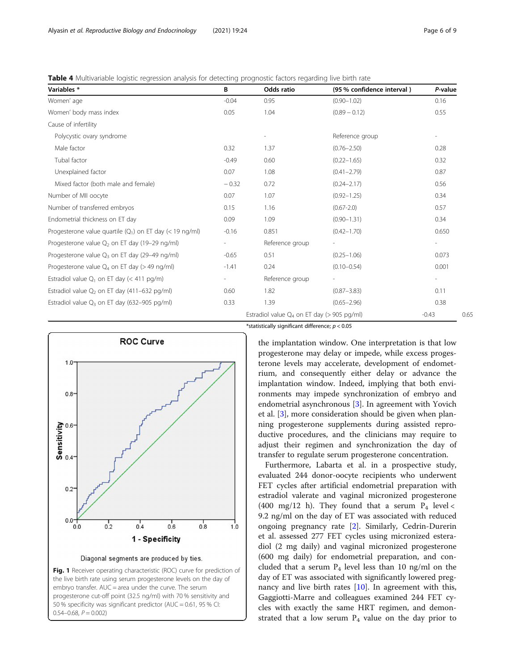<span id="page-5-0"></span>Table 4 Multivariable logistic regression analysis for detecting prognostic factors regarding live birth rate

| Variables *                                                | B       | Odds ratio                                       | (95 % confidence interval) | P-value                  |
|------------------------------------------------------------|---------|--------------------------------------------------|----------------------------|--------------------------|
| Women' age                                                 | $-0.04$ | 0.95                                             | $(0.90 - 1.02)$            | 0.16                     |
| Women' body mass index                                     | 0.05    | 1.04                                             | $(0.89 - 0.12)$            | 0.55                     |
| Cause of infertility                                       |         |                                                  |                            |                          |
| Polycystic ovary syndrome                                  |         |                                                  | Reference group            |                          |
| Male factor                                                | 0.32    | 1.37                                             | $(0.76 - 2.50)$            | 0.28                     |
| Tubal factor                                               | $-0.49$ | 0.60                                             | $(0.22 - 1.65)$            | 0.32                     |
| Unexplained factor                                         | 0.07    | 1.08                                             | $(0.41 - 2.79)$            | 0.87                     |
| Mixed factor (both male and female)                        | $-0.32$ | 0.72                                             | $(0.24 - 2.17)$            | 0.56                     |
| Number of MII oocyte                                       | 0.07    | 1.07                                             | $(0.92 - 1.25)$            | 0.34                     |
| Number of transferred embryos                              | 0.15    | 1.16                                             | $(0.67 - 2.0)$             | 0.57                     |
| Endometrial thickness on ET day                            | 0.09    | 1.09                                             | $(0.90 - 1.31)$            | 0.34                     |
| Progesterone value quartile $(Q_1)$ on ET day (< 19 ng/ml) | $-0.16$ | 0.851                                            | $(0.42 - 1.70)$            | 0.650                    |
| Progesterone value $Q_2$ on ET day (19-29 ng/ml)           |         | Reference group                                  |                            |                          |
| Progesterone value $Q_3$ on ET day (29-49 ng/ml)           | $-0.65$ | 0.51                                             | $(0.25 - 1.06)$            | 0.073                    |
| Progesterone value $Q_4$ on ET day (> 49 ng/ml)            | $-1.41$ | 0.24                                             | $(0.10 - 0.54)$            | 0.001                    |
| Estradiol value $Q_1$ on ET day (< 411 pg/m)               |         | Reference group                                  |                            | $\overline{\phantom{a}}$ |
| Estradiol value $Q_2$ on ET day (411-632 pg/ml)            | 0.60    | 1.82                                             | $(0.87 - 3.83)$            | 0.11                     |
| Estradiol value $Q_3$ on ET day (632-905 pg/ml)            | 0.33    | 1.39                                             | $(0.65 - 2.96)$            | 0.38                     |
|                                                            |         | Estradiol value $Q_4$ on ET day ( $>$ 905 pg/ml) |                            | $-0.43$                  |





\*statistically significant difference;  $p < 0.05$ 

the implantation window. One interpretation is that low progesterone may delay or impede, while excess progesterone levels may accelerate, development of endometrium, and consequently either delay or advance the implantation window. Indeed, implying that both environments may impede synchronization of embryo and endometrial asynchronous [\[3](#page-7-0)]. In agreement with Yovich et al. [\[3](#page-7-0)], more consideration should be given when planning progesterone supplements during assisted reproductive procedures, and the clinicians may require to adjust their regimen and synchronization the day of transfer to regulate serum progesterone concentration.

Furthermore, Labarta et al. in a prospective study, evaluated 244 donor-oocyte recipients who underwent FET cycles after artificial endometrial preparation with estradiol valerate and vaginal micronized progesterone (400 mg/12 h). They found that a serum  $P_4$  level < 9.2 ng/ml on the day of ET was associated with reduced ongoing pregnancy rate [\[2](#page-7-0)]. Similarly, Cedrin-Durerin et al. assessed 277 FET cycles using micronized esteradiol (2 mg daily) and vaginal micronized progesterone (600 mg daily) for endometrial preparation, and concluded that a serum  $P_4$  level less than 10 ng/ml on the day of ET was associated with significantly lowered pregnancy and live birth rates  $[10]$  $[10]$ . In agreement with this, Gaggiotti-Marre and colleagues examined 244 FET cycles with exactly the same HRT regimen, and demonstrated that a low serum  $P_4$  value on the day prior to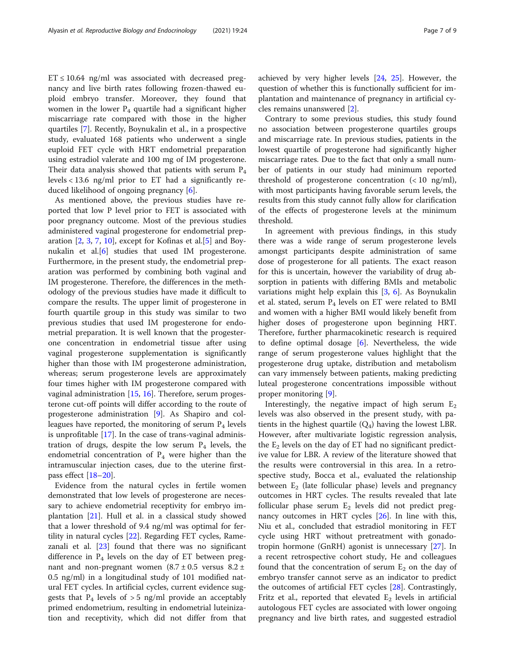$ET \le 10.64$  ng/ml was associated with decreased pregnancy and live birth rates following frozen-thawed euploid embryo transfer. Moreover, they found that women in the lower  $P_4$  quartile had a significant higher miscarriage rate compared with those in the higher quartiles [\[7\]](#page-7-0). Recently, Boynukalin et al., in a prospective study, evaluated 168 patients who underwent a single euploid FET cycle with HRT endometrial preparation using estradiol valerate and 100 mg of IM progesterone. Their data analysis showed that patients with serum  $P_4$ levels < 13.6 ng/ml prior to ET had a significantly reduced likelihood of ongoing pregnancy [\[6](#page-7-0)].

As mentioned above, the previous studies have reported that low P level prior to FET is associated with poor pregnancy outcome. Most of the previous studies administered vaginal progesterone for endometrial preparation [[2,](#page-7-0) [3,](#page-7-0) [7](#page-7-0), [10](#page-7-0)], except for Kofinas et al.[\[5](#page-7-0)] and Boynukalin et al.[[6\]](#page-7-0) studies that used IM progesterone. Furthermore, in the present study, the endometrial preparation was performed by combining both vaginal and IM progesterone. Therefore, the differences in the methodology of the previous studies have made it difficult to compare the results. The upper limit of progesterone in fourth quartile group in this study was similar to two previous studies that used IM progesterone for endometrial preparation. It is well known that the progesterone concentration in endometrial tissue after using vaginal progesterone supplementation is significantly higher than those with IM progesterone administration, whereas; serum progesterone levels are approximately four times higher with IM progesterone compared with vaginal administration [[15,](#page-8-0) [16](#page-8-0)]. Therefore, serum progesterone cut-off points will differ according to the route of progesterone administration [\[9](#page-7-0)]. As Shapiro and colleagues have reported, the monitoring of serum  $P_4$  levels is unprofitable [\[17\]](#page-8-0). In the case of trans-vaginal administration of drugs, despite the low serum  $P_4$  levels, the endometrial concentration of  $P_4$  were higher than the intramuscular injection cases, due to the uterine firstpass effect [[18](#page-8-0)–[20\]](#page-8-0).

Evidence from the natural cycles in fertile women demonstrated that low levels of progesterone are necessary to achieve endometrial receptivity for embryo implantation [[21\]](#page-8-0). Hull et al. in a classical study showed that a lower threshold of 9.4 ng/ml was optimal for fertility in natural cycles [[22\]](#page-8-0). Regarding FET cycles, Ramezanali et al. [[23](#page-8-0)] found that there was no significant difference in  $P_4$  levels on the day of ET between pregnant and non-pregnant women  $(8.7 \pm 0.5$  versus  $8.2 \pm 1.5$ 0.5 ng/ml) in a longitudinal study of 101 modified natural FET cycles. In artificial cycles, current evidence suggests that  $P_4$  levels of  $> 5$  ng/ml provide an acceptably primed endometrium, resulting in endometrial luteinization and receptivity, which did not differ from that achieved by very higher levels [\[24,](#page-8-0) [25](#page-8-0)]. However, the question of whether this is functionally sufficient for implantation and maintenance of pregnancy in artificial cycles remains unanswered [\[2](#page-7-0)].

Contrary to some previous studies, this study found no association between progesterone quartiles groups and miscarriage rate. In previous studies, patients in the lowest quartile of progesterone had significantly higher miscarriage rates. Due to the fact that only a small number of patients in our study had minimum reported threshold of progesterone concentration  $\left( < 10 \text{ ng/ml} \right)$ , with most participants having favorable serum levels, the results from this study cannot fully allow for clarification of the effects of progesterone levels at the minimum threshold.

In agreement with previous findings, in this study there was a wide range of serum progesterone levels amongst participants despite administration of same dose of progesterone for all patients. The exact reason for this is uncertain, however the variability of drug absorption in patients with differing BMIs and metabolic variations might help explain this  $[3, 6]$  $[3, 6]$  $[3, 6]$  $[3, 6]$ . As Boynukalin et al. stated, serum  $P_4$  levels on ET were related to BMI and women with a higher BMI would likely benefit from higher doses of progesterone upon beginning HRT. Therefore, further pharmacokinetic research is required to define optimal dosage [\[6](#page-7-0)]. Nevertheless, the wide range of serum progesterone values highlight that the progesterone drug uptake, distribution and metabolism can vary immensely between patients, making predicting luteal progesterone concentrations impossible without proper monitoring [[9\]](#page-7-0).

Interestingly, the negative impact of high serum  $E_2$ levels was also observed in the present study, with patients in the highest quartile  $(Q_4)$  having the lowest LBR. However, after multivariate logistic regression analysis, the  $E_2$  levels on the day of ET had no significant predictive value for LBR. A review of the literature showed that the results were controversial in this area. In a retrospective study, Bocca et al., evaluated the relationship between  $E_2$  (late follicular phase) levels and pregnancy outcomes in HRT cycles. The results revealed that late follicular phase serum  $E_2$  levels did not predict pregnancy outcomes in HRT cycles [[26](#page-8-0)]. In line with this, Niu et al., concluded that estradiol monitoring in FET cycle using HRT without pretreatment with gonadotropin hormone (GnRH) agonist is unnecessary [[27\]](#page-8-0). In a recent retrospective cohort study, He and colleagues found that the concentration of serum  $E_2$  on the day of embryo transfer cannot serve as an indicator to predict the outcomes of artificial FET cycles [[28\]](#page-8-0). Contrastingly, Fritz et al., reported that elevated  $E_2$  levels in artificial autologous FET cycles are associated with lower ongoing pregnancy and live birth rates, and suggested estradiol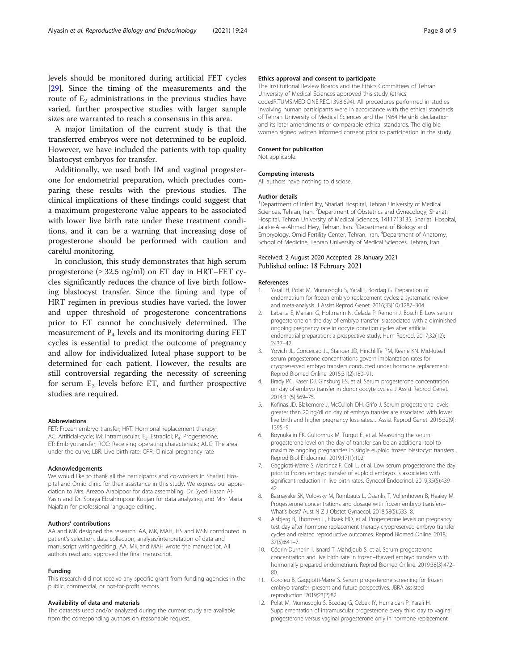<span id="page-7-0"></span>levels should be monitored during artificial FET cycles [[29\]](#page-8-0). Since the timing of the measurements and the route of  $E<sub>2</sub>$  administrations in the previous studies have varied, further prospective studies with larger sample sizes are warranted to reach a consensus in this area.

A major limitation of the current study is that the transferred embryos were not determined to be euploid. However, we have included the patients with top quality blastocyst embryos for transfer.

Additionally, we used both IM and vaginal progesterone for endometrial preparation, which precludes comparing these results with the previous studies. The clinical implications of these findings could suggest that a maximum progesterone value appears to be associated with lower live birth rate under these treatment conditions, and it can be a warning that increasing dose of progesterone should be performed with caution and careful monitoring.

In conclusion, this study demonstrates that high serum progesterone ( $\geq$  32.5 ng/ml) on ET day in HRT–FET cycles significantly reduces the chance of live birth following blastocyst transfer. Since the timing and type of HRT regimen in previous studies have varied, the lower and upper threshold of progesterone concentrations prior to ET cannot be conclusively determined. The measurement of  $P_4$  levels and its monitoring during FET cycles is essential to predict the outcome of pregnancy and allow for individualized luteal phase support to be determined for each patient. However, the results are still controversial regarding the necessity of screening for serum  $E_2$  levels before ET, and further prospective studies are required.

#### Abbreviations

FET: Frozen embryo transfer; HRT: Hormonal replacement therapy; AC: Artificial-cycle; IM: Intramuscular; E<sub>2</sub>: Estradiol; P<sub>4</sub>: Progesterone; ET: Embryotransfer; ROC: Receiving operating characteristic; AUC: The area under the curve; LBR: Live birth rate; CPR: Clinical pregnancy rate

#### Acknowledgements

We would like to thank all the participants and co-workers in Shariati Hospital and Omid clinic for their assistance in this study. We express our appreciation to Mrs. Arezoo Arabipoor for data assembling, Dr. Syed Hasan Al-Yasin and Dr. Soraya Ebrahimpour Koujan for data analyzing, and Mrs. Maria Najafain for professional language editing.

#### Authors' contributions

AA and MK designed the research. AA, MK, MAH, HS and MSN contributed in patient's selection, data collection, analysis/interpretation of data and manuscript writing/editing. AA, MK and MAH wrote the manuscript. All authors read and approved the final manuscript.

#### Funding

This research did not receive any specific grant from funding agencies in the public, commercial, or not-for-profit sectors.

#### Availability of data and materials

The datasets used and/or analyzed during the current study are available from the corresponding authors on reasonable request.

#### Ethics approval and consent to participate

The Institutional Review Boards and the Ethics Committees of Tehran University of Medical Sciences approved this study (ethics code:IR.TUMS.MEDICINE.REC.1398.694). All procedures performed in studies involving human participants were in accordance with the ethical standards of Tehran University of Medical Sciences and the 1964 Helsinki declaration and its later amendments or comparable ethical standards. The eligible women signed written informed consent prior to participation in the study.

#### Consent for publication

Not applicable.

#### Competing interests

All authors have nothing to disclose.

#### Author details

<sup>1</sup>Department of Infertility, Shariati Hospital, Tehran University of Medical Sciences, Tehran, Iran. <sup>2</sup>Department of Obstetrics and Gynecology, Shariati Hospital, Tehran University of Medical Sciences, 1411713135, Shariati Hospital, Jalal-e-Al-e-Ahmad Hwy, Tehran, Iran. <sup>3</sup>Department of Biology and Embryology, Omid Fertility Center, Tehran, Iran. <sup>4</sup>Department of Anatomy School of Medicine, Tehran University of Medical Sciences, Tehran, Iran.

### Received: 2 August 2020 Accepted: 28 January 2021 Published online: 18 February 2021

#### References

- 1. Yarali H, Polat M, Mumusoglu S, Yarali I, Bozdag G. Preparation of endometrium for frozen embryo replacement cycles: a systematic review and meta-analysis. J Assist Reprod Genet. 2016;33(10):1287–304.
- 2. Labarta E, Mariani G, Holtmann N, Celada P, Remohi J, Bosch E. Low serum progesterone on the day of embryo transfer is associated with a diminished ongoing pregnancy rate in oocyte donation cycles after artificial endometrial preparation: a prospective study. Hum Reprod. 2017;32(12): 2437–42.
- 3. Yovich JL, Conceicao JL, Stanger JD, Hinchliffe PM, Keane KN. Mid-luteal serum progesterone concentrations govern implantation rates for cryopreserved embryo transfers conducted under hormone replacement. Reprod Biomed Online. 2015;31(2):180–91.
- 4. Brady PC, Kaser DJ, Ginsburg ES, et al. Serum progesterone concentration on day of embryo transfer in donor oocyte cycles. J Assist Reprod Genet. 2014;31(5):569–75.
- 5. Kofinas JD, Blakemore J, McCulloh DH, Grifo J. Serum progesterone levels greater than 20 ng/dl on day of embryo transfer are associated with lower live birth and higher pregnancy loss rates. J Assist Reprod Genet. 2015;32(9): 1395–9.
- 6. Boynukalin FK, Gultomruk M, Turgut E, et al. Measuring the serum progesterone level on the day of transfer can be an additional tool to maximize ongoing pregnancies in single euploid frozen blastocyst transfers. Reprod Biol Endocrinol. 2019;17(1):102.
- 7. Gaggiotti-Marre S, Martinez F, Coll L, et al. Low serum progesterone the day prior to frozen embryo transfer of euploid embryos is associated with significant reduction in live birth rates. Gynecol Endocrinol. 2019;35(5):439– 42.
- 8. Basnayake SK, Volovsky M, Rombauts L, Osianlis T, Vollenhoven B, Healey M. Progesterone concentrations and dosage with frozen embryo transfers– What's best? Aust N Z J Obstet Gynaecol. 2018;58(5):533–8.
- Alsbjerg B, Thomsen L, Elbaek HO, et al. Progesterone levels on pregnancy test day after hormone replacement therapy-cryopreserved embryo transfer cycles and related reproductive outcomes. Reprod Biomed Online. 2018; 37(5):641–7.
- 10. Cédrin-Durnerin I, Isnard T, Mahdjoub S, et al. Serum progesterone concentration and live birth rate in frozen–thawed embryo transfers with hormonally prepared endometrium. Reprod Biomed Online. 2019;38(3):472– 80.
- 11. Coroleu B, Gaggiotti-Marre S. Serum progesterone screening for frozen embryo transfer: present and future perspectives. JBRA assisted reproduction. 2019;23(2):82.
- 12. Polat M, Mumusoglu S, Bozdag G, Ozbek IY, Humaidan P, Yarali H. Supplementation of intramuscular progesterone every third day to vaginal progesterone versus vaginal progesterone only in hormone replacement